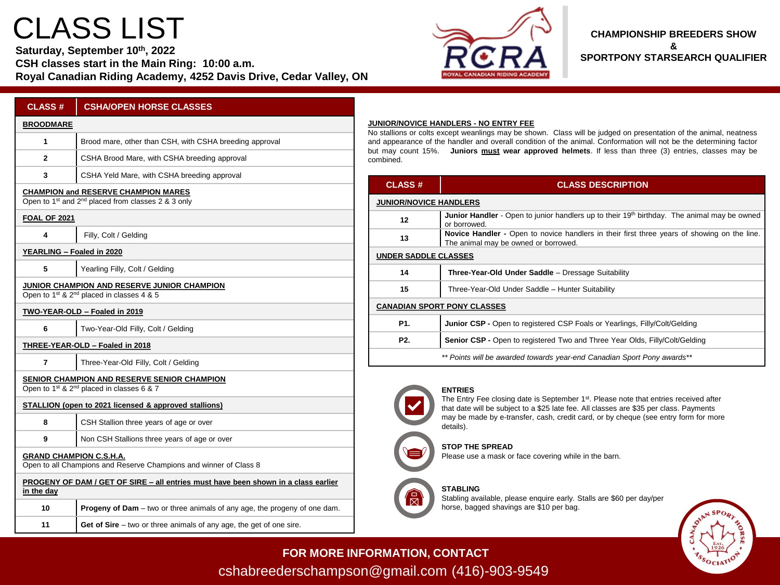# CLASS LIST

**Saturday, September 10th, 2022**

**CSH classes start in the Main Ring: 10:00 a.m. Royal Canadian Riding Academy, 4252 Davis Drive, Cedar Valley, ON**



### **CHAMPIONSHIP BREEDERS SHOW & SPORTPONY STARSEARCH QUALIFIER**

| <b>CLASS#</b>             | <b>CSHA/OPEN HORSE CLASSES</b>                                                                                           |
|---------------------------|--------------------------------------------------------------------------------------------------------------------------|
| <b>BROODMARE</b>          |                                                                                                                          |
| 1                         | Brood mare, other than CSH, with CSHA breeding approval                                                                  |
| 2                         | CSHA Brood Mare, with CSHA breeding approval                                                                             |
| 3                         | CSHA Yeld Mare, with CSHA breeding approval                                                                              |
|                           | <b>CHAMPION and RESERVE CHAMPION MARES</b><br>Open to 1 <sup>st</sup> and 2 <sup>nd</sup> placed from classes 2 & 3 only |
| <b>FOAL OF 2021</b>       |                                                                                                                          |
| 4                         | Filly, Colt / Gelding                                                                                                    |
| YEARLING - Foaled in 2020 |                                                                                                                          |
| 5                         | Yearling Filly, Colt / Gelding                                                                                           |
|                           | JUNIOR CHAMPION AND RESERVE JUNIOR CHAMPION<br>Open to 1 <sup>st</sup> & 2 <sup>nd</sup> placed in classes 4 & 5         |
|                           | TWO-YEAR-OLD - Foaled in 2019                                                                                            |
| 6                         | Two-Year-Old Filly, Colt / Gelding                                                                                       |
|                           | THREE-YEAR-OLD - Foaled in 2018                                                                                          |
| 7                         | Three-Year-Old Filly, Colt / Gelding                                                                                     |
|                           | SENIOR CHAMPION AND RESERVE SENIOR CHAMPION<br>Open to 1st & 2 <sup>nd</sup> placed in classes 6 & 7                     |
|                           | STALLION (open to 2021 licensed & approved stallions)                                                                    |
| 8                         | CSH Stallion three years of age or over                                                                                  |
| 9                         | Non CSH Stallions three years of age or over                                                                             |
|                           | <b>GRAND CHAMPION C.S.H.A.</b><br>Open to all Champions and Reserve Champions and winner of Class 8                      |
| in the day                | PROGENY OF DAM / GET OF SIRE – all entries must have been shown in a class earlier                                       |
| 10                        | <b>Progeny of Dam</b> – two or three animals of any age, the progeny of one dam.                                         |
| 11                        | Get of Sire $-$ two or three animals of any age, the get of one sire.                                                    |

#### **JUNIOR/NOVICE HANDLERS - NO ENTRY FEE**

stallions or colts except weanlings may be shown. Class will be judged on presentation of the animal, neatness d appearance of the handler and overall condition of the animal. Conformation will not be the determining factor but may count 15%. **Juniors must wear approved helmets**. If less than three (3) entries, classes may be mbined.

| <b>CLASS#</b>                      | <b>CLASS DESCRIPTION</b>                                                                                                            |  |
|------------------------------------|-------------------------------------------------------------------------------------------------------------------------------------|--|
| <b>JUNIOR/NOVICE HANDLERS</b>      |                                                                                                                                     |  |
| 12                                 | <b>Junior Handler</b> - Open to junior handlers up to their 19 <sup>th</sup> birthday. The animal may be owned<br>or borrowed.      |  |
| 13                                 | Novice Handler - Open to novice handlers in their first three years of showing on the line.<br>The animal may be owned or borrowed. |  |
| UNDER SADDLE CLASSES               |                                                                                                                                     |  |
| 14                                 | Three-Year-Old Under Saddle - Dressage Suitability                                                                                  |  |
| 15                                 | Three-Year-Old Under Saddle - Hunter Suitability                                                                                    |  |
| <b>CANADIAN SPORT PONY CLASSES</b> |                                                                                                                                     |  |
| P1.                                | <b>Junior CSP</b> - Open to registered CSP Foals or Yearlings, Filly/Colt/Gelding                                                   |  |
| P <sub>2</sub>                     | <b>Senior CSP</b> - Open to registered Two and Three Year Olds, Filly/Colt/Gelding                                                  |  |
|                                    | ** Points will be awarded towards year-end Canadian Sport Pony awards**                                                             |  |



#### **ENTRIES**

The Entry Fee closing date is September 1<sup>st</sup>. Please note that entries received after that date will be subject to a \$25 late fee. All classes are \$35 per class. Payments may be made by e-transfer, cash, credit card, or by cheque (see entry form for more details).

#### **STOP THE SPREAD**

Please use a mask or face covering while in the barn.

#### **STABLING**

Stabling available, please enquire early. Stalls are \$60 per day/per horse, bagged shavings are \$10 per bag.



**FOR MORE INFORMATION, CONTACT** cshabreederschampson@gmail.com (416)-903-9549